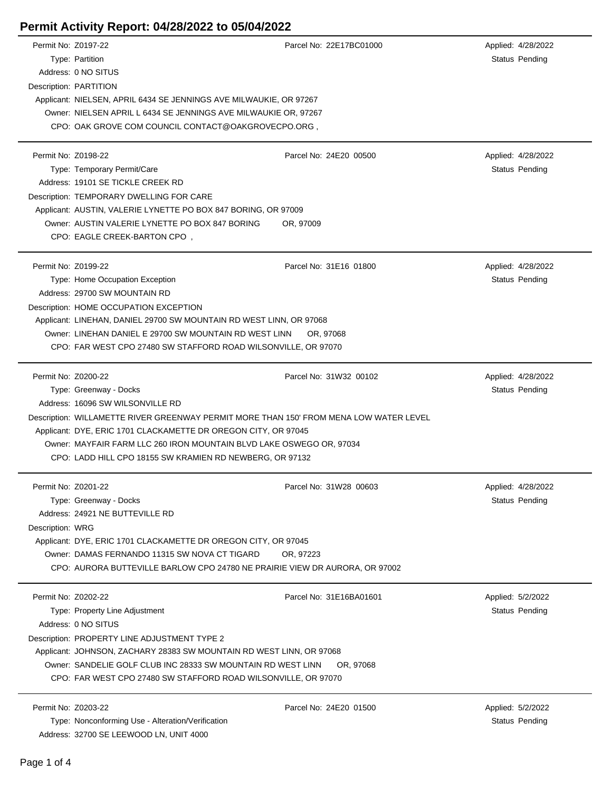## **Permit Activity Report: 04/28/2022 to 05/04/2022**

| Permit No: Z0197-22 |                                                                                        | Parcel No: 22E17BC01000 | Applied: 4/28/2022    |  |  |
|---------------------|----------------------------------------------------------------------------------------|-------------------------|-----------------------|--|--|
|                     | Type: Partition                                                                        |                         | Status Pending        |  |  |
|                     | Address: 0 NO SITUS                                                                    |                         |                       |  |  |
|                     | Description: PARTITION                                                                 |                         |                       |  |  |
|                     | Applicant: NIELSEN, APRIL 6434 SE JENNINGS AVE MILWAUKIE, OR 97267                     |                         |                       |  |  |
|                     | Owner: NIELSEN APRIL L 6434 SE JENNINGS AVE MILWAUKIE OR, 97267                        |                         |                       |  |  |
|                     | CPO: OAK GROVE COM COUNCIL CONTACT@OAKGROVECPO.ORG,                                    |                         |                       |  |  |
|                     |                                                                                        |                         |                       |  |  |
| Permit No: Z0198-22 |                                                                                        | Parcel No: 24E20 00500  | Applied: 4/28/2022    |  |  |
|                     | Type: Temporary Permit/Care                                                            |                         | Status Pending        |  |  |
|                     | Address: 19101 SE TICKLE CREEK RD                                                      |                         |                       |  |  |
|                     | Description: TEMPORARY DWELLING FOR CARE                                               |                         |                       |  |  |
|                     | Applicant: AUSTIN, VALERIE LYNETTE PO BOX 847 BORING, OR 97009                         |                         |                       |  |  |
|                     | Owner: AUSTIN VALERIE LYNETTE PO BOX 847 BORING<br>OR, 97009                           |                         |                       |  |  |
|                     | CPO: EAGLE CREEK-BARTON CPO,                                                           |                         |                       |  |  |
|                     |                                                                                        |                         |                       |  |  |
| Permit No: Z0199-22 |                                                                                        | Parcel No: 31E16 01800  |                       |  |  |
|                     |                                                                                        |                         | Applied: 4/28/2022    |  |  |
|                     | Type: Home Occupation Exception                                                        |                         | <b>Status Pending</b> |  |  |
|                     | Address: 29700 SW MOUNTAIN RD                                                          |                         |                       |  |  |
|                     | Description: HOME OCCUPATION EXCEPTION                                                 |                         |                       |  |  |
|                     | Applicant: LINEHAN, DANIEL 29700 SW MOUNTAIN RD WEST LINN, OR 97068                    |                         |                       |  |  |
|                     | Owner: LINEHAN DANIEL E 29700 SW MOUNTAIN RD WEST LINN                                 | OR, 97068               |                       |  |  |
|                     | CPO: FAR WEST CPO 27480 SW STAFFORD ROAD WILSONVILLE, OR 97070                         |                         |                       |  |  |
|                     |                                                                                        |                         |                       |  |  |
| Permit No: Z0200-22 |                                                                                        | Parcel No: 31W32 00102  | Applied: 4/28/2022    |  |  |
|                     | Type: Greenway - Docks                                                                 |                         | Status Pending        |  |  |
|                     | Address: 16096 SW WILSONVILLE RD                                                       |                         |                       |  |  |
|                     | Description: WILLAMETTE RIVER GREENWAY PERMIT MORE THAN 150' FROM MENA LOW WATER LEVEL |                         |                       |  |  |
|                     | Applicant: DYE, ERIC 1701 CLACKAMETTE DR OREGON CITY, OR 97045                         |                         |                       |  |  |
|                     | Owner: MAYFAIR FARM LLC 260 IRON MOUNTAIN BLVD LAKE OSWEGO OR, 97034                   |                         |                       |  |  |
|                     | CPO: LADD HILL CPO 18155 SW KRAMIEN RD NEWBERG, OR 97132                               |                         |                       |  |  |
|                     |                                                                                        |                         |                       |  |  |
| Permit No: Z0201-22 |                                                                                        | Parcel No: 31W28 00603  | Applied: 4/28/2022    |  |  |
|                     | Type: Greenway - Docks                                                                 |                         | Status Pending        |  |  |
|                     | Address: 24921 NE BUTTEVILLE RD                                                        |                         |                       |  |  |
| Description: WRG    |                                                                                        |                         |                       |  |  |
|                     | Applicant: DYE, ERIC 1701 CLACKAMETTE DR OREGON CITY, OR 97045                         |                         |                       |  |  |
|                     | Owner: DAMAS FERNANDO 11315 SW NOVA CT TIGARD                                          | OR, 97223               |                       |  |  |
|                     | CPO: AURORA BUTTEVILLE BARLOW CPO 24780 NE PRAIRIE VIEW DR AURORA, OR 97002            |                         |                       |  |  |
|                     |                                                                                        |                         |                       |  |  |
| Permit No: Z0202-22 |                                                                                        | Parcel No: 31E16BA01601 | Applied: 5/2/2022     |  |  |
|                     | Type: Property Line Adjustment                                                         |                         | Status Pending        |  |  |
|                     | Address: 0 NO SITUS                                                                    |                         |                       |  |  |
|                     | Description: PROPERTY LINE ADJUSTMENT TYPE 2                                           |                         |                       |  |  |
|                     | Applicant: JOHNSON, ZACHARY 28383 SW MOUNTAIN RD WEST LINN, OR 97068                   |                         |                       |  |  |
|                     | Owner: SANDELIE GOLF CLUB INC 28333 SW MOUNTAIN RD WEST LINN                           | OR, 97068               |                       |  |  |
|                     | CPO: FAR WEST CPO 27480 SW STAFFORD ROAD WILSONVILLE, OR 97070                         |                         |                       |  |  |
|                     |                                                                                        |                         |                       |  |  |
| Permit No: Z0203-22 |                                                                                        | Parcel No: 24E20 01500  | Applied: 5/2/2022     |  |  |
|                     | Type: Nonconforming Use - Alteration/Verification                                      |                         | <b>Status Pending</b> |  |  |
|                     | Address: 32700 SE LEEWOOD LN, UNIT 4000                                                |                         |                       |  |  |
|                     |                                                                                        |                         |                       |  |  |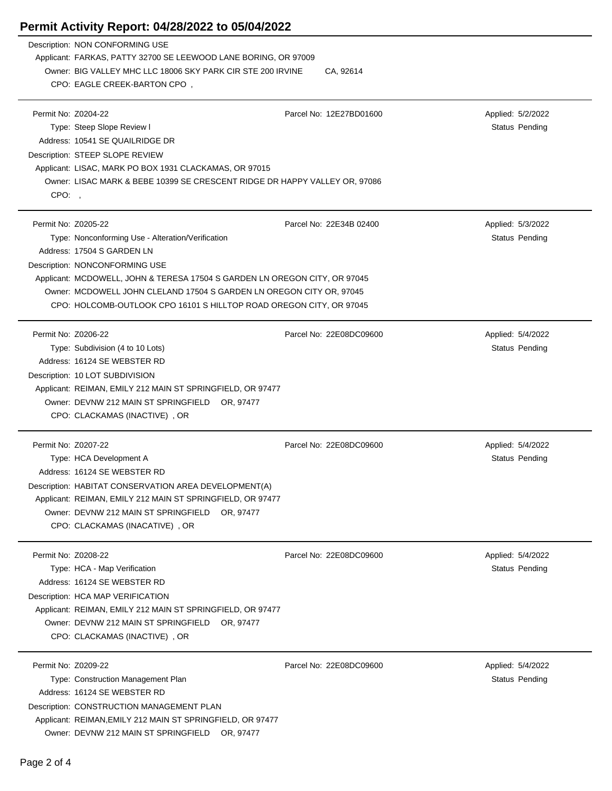## **Permit Activity Report: 04/28/2022 to 05/04/2022**

|                     | Description: NON CONFORMING USE                                                                                     |                         |                       |  |  |
|---------------------|---------------------------------------------------------------------------------------------------------------------|-------------------------|-----------------------|--|--|
|                     | Applicant: FARKAS, PATTY 32700 SE LEEWOOD LANE BORING, OR 97009                                                     |                         |                       |  |  |
|                     | Owner: BIG VALLEY MHC LLC 18006 SKY PARK CIR STE 200 IRVINE                                                         | CA, 92614               |                       |  |  |
|                     | CPO: EAGLE CREEK-BARTON CPO,                                                                                        |                         |                       |  |  |
|                     |                                                                                                                     |                         |                       |  |  |
| Permit No: Z0204-22 |                                                                                                                     | Parcel No: 12E27BD01600 | Applied: 5/2/2022     |  |  |
|                     | Type: Steep Slope Review I                                                                                          |                         | Status Pending        |  |  |
|                     | Address: 10541 SE QUAILRIDGE DR                                                                                     |                         |                       |  |  |
|                     | Description: STEEP SLOPE REVIEW<br>Applicant: LISAC, MARK PO BOX 1931 CLACKAMAS, OR 97015                           |                         |                       |  |  |
|                     | Owner: LISAC MARK & BEBE 10399 SE CRESCENT RIDGE DR HAPPY VALLEY OR, 97086                                          |                         |                       |  |  |
| CPO:,               |                                                                                                                     |                         |                       |  |  |
|                     |                                                                                                                     |                         |                       |  |  |
| Permit No: Z0205-22 |                                                                                                                     | Parcel No: 22E34B 02400 | Applied: 5/3/2022     |  |  |
|                     | Type: Nonconforming Use - Alteration/Verification                                                                   |                         | Status Pending        |  |  |
|                     | Address: 17504 S GARDEN LN                                                                                          |                         |                       |  |  |
|                     | Description: NONCONFORMING USE                                                                                      |                         |                       |  |  |
|                     | Applicant: MCDOWELL, JOHN & TERESA 17504 S GARDEN LN OREGON CITY, OR 97045                                          |                         |                       |  |  |
|                     | Owner: MCDOWELL JOHN CLELAND 17504 S GARDEN LN OREGON CITY OR, 97045                                                |                         |                       |  |  |
|                     | CPO: HOLCOMB-OUTLOOK CPO 16101 S HILLTOP ROAD OREGON CITY, OR 97045                                                 |                         |                       |  |  |
|                     |                                                                                                                     |                         |                       |  |  |
| Permit No: Z0206-22 |                                                                                                                     | Parcel No: 22E08DC09600 | Applied: 5/4/2022     |  |  |
|                     | Type: Subdivision (4 to 10 Lots)                                                                                    |                         | Status Pending        |  |  |
|                     | Address: 16124 SE WEBSTER RD                                                                                        |                         |                       |  |  |
|                     | Description: 10 LOT SUBDIVISION                                                                                     |                         |                       |  |  |
|                     | Applicant: REIMAN, EMILY 212 MAIN ST SPRINGFIELD, OR 97477                                                          |                         |                       |  |  |
|                     | Owner: DEVNW 212 MAIN ST SPRINGFIELD OR, 97477                                                                      |                         |                       |  |  |
|                     | CPO: CLACKAMAS (INACTIVE), OR                                                                                       |                         |                       |  |  |
|                     |                                                                                                                     |                         |                       |  |  |
| Permit No: Z0207-22 |                                                                                                                     | Parcel No: 22E08DC09600 | Applied: 5/4/2022     |  |  |
|                     | Type: HCA Development A<br>Address: 16124 SE WEBSTER RD                                                             |                         | <b>Status Pending</b> |  |  |
|                     |                                                                                                                     |                         |                       |  |  |
|                     | Description: HABITAT CONSERVATION AREA DEVELOPMENT(A)<br>Applicant: REIMAN, EMILY 212 MAIN ST SPRINGFIELD, OR 97477 |                         |                       |  |  |
|                     | Owner: DEVNW 212 MAIN ST SPRINGFIELD OR, 97477                                                                      |                         |                       |  |  |
|                     | CPO: CLACKAMAS (INACATIVE), OR                                                                                      |                         |                       |  |  |
|                     |                                                                                                                     |                         |                       |  |  |
| Permit No: Z0208-22 |                                                                                                                     | Parcel No: 22E08DC09600 | Applied: 5/4/2022     |  |  |
|                     | Type: HCA - Map Verification                                                                                        |                         | Status Pending        |  |  |
|                     | Address: 16124 SE WEBSTER RD                                                                                        |                         |                       |  |  |
|                     | Description: HCA MAP VERIFICATION                                                                                   |                         |                       |  |  |
|                     | Applicant: REIMAN, EMILY 212 MAIN ST SPRINGFIELD, OR 97477                                                          |                         |                       |  |  |
|                     | Owner: DEVNW 212 MAIN ST SPRINGFIELD OR, 97477                                                                      |                         |                       |  |  |
|                     | CPO: CLACKAMAS (INACTIVE), OR                                                                                       |                         |                       |  |  |
|                     |                                                                                                                     |                         |                       |  |  |
| Permit No: Z0209-22 |                                                                                                                     | Parcel No: 22E08DC09600 | Applied: 5/4/2022     |  |  |
|                     | Type: Construction Management Plan                                                                                  |                         | Status Pending        |  |  |
|                     | Address: 16124 SE WEBSTER RD                                                                                        |                         |                       |  |  |
|                     | Description: CONSTRUCTION MANAGEMENT PLAN                                                                           |                         |                       |  |  |
|                     | Applicant: REIMAN, EMILY 212 MAIN ST SPRINGFIELD, OR 97477                                                          |                         |                       |  |  |
|                     | Owner: DEVNW 212 MAIN ST SPRINGFIELD OR, 97477                                                                      |                         |                       |  |  |